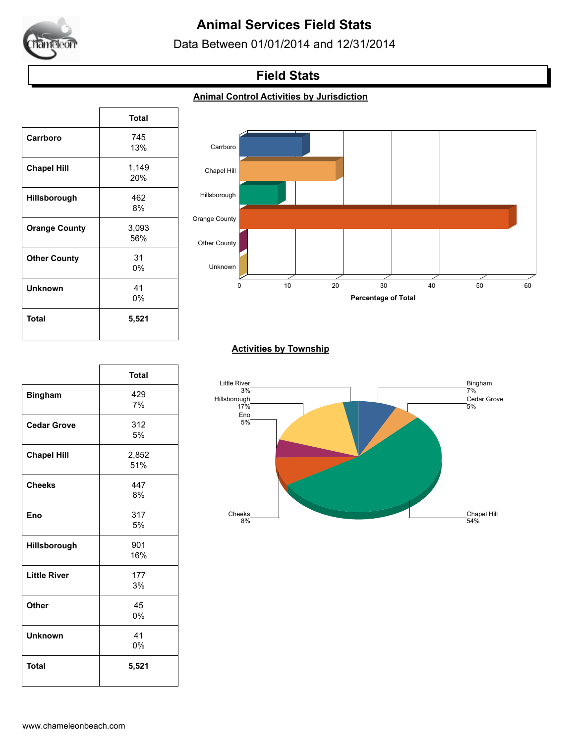

# **Animal Services Field Stats**

Data Between 01/01/2014 and 12/31/2014

## **Field Stats**

### **Animal Control Activities by Jurisdiction**

|                      | <b>Total</b> |
|----------------------|--------------|
| Carrboro             | 745          |
|                      | 13%          |
| <b>Chapel Hill</b>   | 1,149        |
|                      | 20%          |
| Hillsborough         | 462          |
|                      | 8%           |
| <b>Orange County</b> | 3,093        |
|                      | 56%          |
| <b>Other County</b>  | 31           |
|                      | 0%           |
| Unknown              | 41           |
|                      | 0%           |
| Total                | 5,521        |
|                      |              |

 $\sqrt{ }$ 

 $\sqrt{ }$ 



### **Activities by Township**

|                     | <b>Total</b> | Little  |
|---------------------|--------------|---------|
| <b>Bingham</b>      | 429<br>7%    | Hillsbo |
| <b>Cedar Grove</b>  | 312<br>5%    |         |
| <b>Chapel Hill</b>  | 2,852<br>51% |         |
| <b>Cheeks</b>       | 447<br>8%    |         |
| Eno                 | 317<br>5%    | C       |
| Hillsborough        | 901<br>16%   |         |
| <b>Little River</b> | 177<br>3%    |         |
| Other               | 45<br>0%     |         |
| <b>Unknown</b>      | 41<br>0%     |         |
| <b>Total</b>        | 5,521        |         |

٦

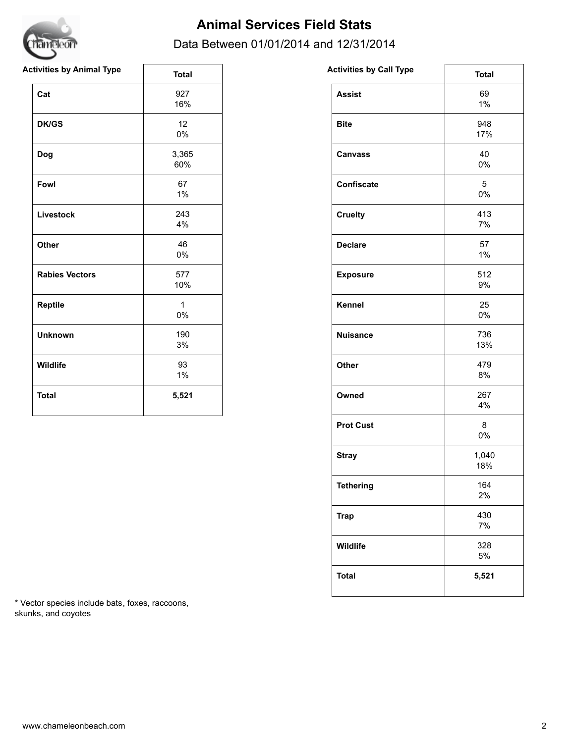

## **Animal Services Field Stats**

### Data Between 01/01/2014 and 12/31/2014

| <b>Activities by Animal Type</b> | <b>Total</b>          | <b>Activities by Call Type</b> | <b>Total</b>             |
|----------------------------------|-----------------------|--------------------------------|--------------------------|
| Cat                              | 927<br>16%            | <b>Assist</b>                  | 69<br>$1\%$              |
| <b>DK/GS</b>                     | 12<br>$0\%$           | <b>Bite</b>                    | 948<br>17%               |
| Dog                              | 3,365<br>60%          | <b>Canvass</b>                 | 40<br>0%                 |
| Fowl                             | 67<br>$1\%$           | Confiscate                     | $5\phantom{.0}$<br>$0\%$ |
| Livestock                        | 243<br>4%             | <b>Cruelty</b>                 | 413<br>7%                |
| Other                            | 46<br>$0\%$           | <b>Declare</b>                 | 57<br>$1\%$              |
| <b>Rabies Vectors</b>            | 577<br>10%            | <b>Exposure</b>                | 512<br>9%                |
| Reptile                          | $\mathbf{1}$<br>$0\%$ | Kennel                         | 25<br>0%                 |
| <b>Unknown</b>                   | 190<br>3%             | <b>Nuisance</b>                | 736<br>13%               |
| Wildlife                         | 93<br>$1\%$           | Other                          | 479<br>8%                |
| <b>Total</b>                     | 5,521                 | Owned                          | 267<br>4%                |

| <b>Activities by Call Type</b> | <b>Total</b> |
|--------------------------------|--------------|
| <b>Assist</b>                  | 69<br>1%     |
| <b>Bite</b>                    | 948<br>17%   |
| <b>Canvass</b>                 | 40<br>0%     |
| <b>Confiscate</b>              | 5<br>0%      |
| <b>Cruelty</b>                 | 413<br>7%    |
| <b>Declare</b>                 | 57<br>1%     |
| <b>Exposure</b>                | 512<br>9%    |
| <b>Kennel</b>                  | 25<br>0%     |
| <b>Nuisance</b>                | 736<br>13%   |
| Other                          | 479<br>8%    |
| Owned                          | 267<br>4%    |
| <b>Prot Cust</b>               | 8<br>0%      |
| <b>Stray</b>                   | 1,040<br>18% |
| <b>Tethering</b>               | 164<br>2%    |
| <b>Trap</b>                    | 430<br>7%    |
| Wildlife                       | 328<br>5%    |
| <b>Total</b>                   | 5,521        |

\* Vector species include bats, foxes, raccoons, skunks, and coyotes